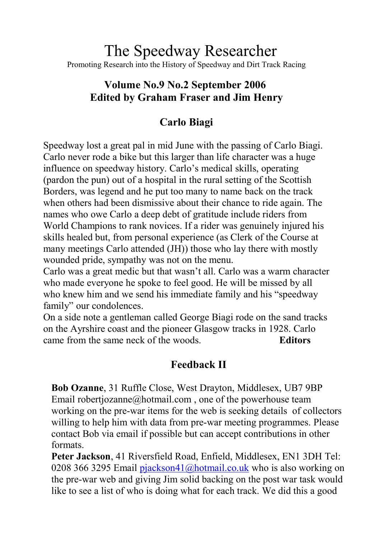# The Speedway Researcher Promoting Research into the History of Speedway and Dirt Track Racing

# **Volume No.9 No.2 September 2006 Edited by Graham Fraser and Jim Henry**

# **Carlo Biagi**

Speedway lost a great pal in mid June with the passing of Carlo Biagi. Carlo never rode a bike but this larger than life character was a huge influence on speedway history. Carlo's medical skills, operating (pardon the pun) out of a hospital in the rural setting of the Scottish Borders, was legend and he put too many to name back on the track when others had been dismissive about their chance to ride again. The names who owe Carlo a deep debt of gratitude include riders from World Champions to rank novices. If a rider was genuinely injured his skills healed but, from personal experience (as Clerk of the Course at many meetings Carlo attended (JH)) those who lay there with mostly wounded pride, sympathy was not on the menu.

Carlo was a great medic but that wasn't all. Carlo was a warm character who made everyone he spoke to feel good. He will be missed by all who knew him and we send his immediate family and his "speedway family" our condolences.

On a side note a gentleman called George Biagi rode on the sand tracks on the Ayrshire coast and the pioneer Glasgow tracks in 1928. Carlo came from the same neck of the woods. **Editors**

# **Feedback II**

**Bob Ozanne**, 31 Ruffle Close, West Drayton, Middlesex, UB7 9BP Email robertjozanne@hotmail.com, one of the powerhouse team working on the pre-war items for the web is seeking details of collectors willing to help him with data from pre-war meeting programmes. Please contact Bob via email if possible but can accept contributions in other formats.

**Peter Jackson**, 41 Riversfield Road, Enfield, Middlesex, EN1 3DH Tel: 0208 366 3295 Email pjackson41@hotmail.co.uk who is also working on the pre-war web and [giving Jim solid backing on t](mailto:pjackson41@hotmail.co.uk)he post war task would like to see a list of who is doing what for each track. We did this a good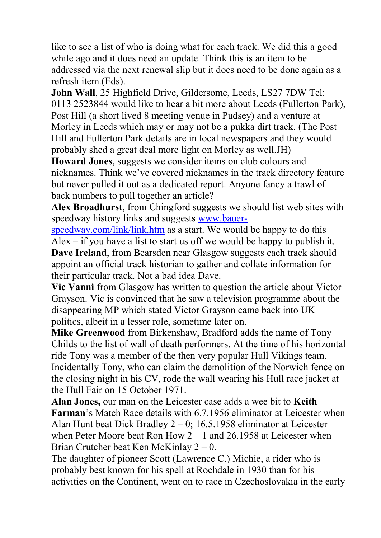like to see a list of who is doing what for each track. We did this a good while ago and it does need an update. Think this is an item to be addressed via the next renewal slip but it does need to be done again as a refresh item.(Eds).

**John Wall**, 25 Highfield Drive, Gildersome, Leeds, LS27 7DW Tel: 0113 2523844 would like to hear a bit more about Leeds (Fullerton Park), Post Hill (a short lived 8 meeting venue in Pudsey) and a venture at Morley in Leeds which may or may not be a pukka dirt track. (The Post Hill and Fullerton Park details are in local newspapers and they would probably shed a great deal more light on Morley as well.JH)

**Howard Jones**, suggests we consider items on club colours and nicknames. Think we've covered nicknames in the track directory feature but never pulled it out as a dedicated report. Anyone fancy a trawl of back numbers to pull together an article?

**Alex Broadhurst**, from Chingford suggests we should list web sites with speedway history links and suggests [www.bauer-](http://www.bauer-speedway.com/link/link.htm)

[speedway.com/link/link.htm](http://www.bauer-speedway.com/link/link.htm) as a start. We would be happy to do this Alex – if you have a list to start us off we would be happy to publish it.

**Dave Ireland**, from Bearsden near Glasgow suggests each track should appoint an official track historian to gather and collate information for their particular track. Not a bad idea Dave.

**Vic Vanni** from Glasgow has written to question the article about Victor Grayson. Vic is convinced that he saw a television programme about the disappearing MP which stated Victor Grayson came back into UK politics, albeit in a lesser role, sometime later on.

**Mike Greenwood** from Birkenshaw, Bradford adds the name of Tony Childs to the list of wall of death performers. At the time of his horizontal ride Tony was a member of the then very popular Hull Vikings team. Incidentally Tony, who can claim the demolition of the Norwich fence on the closing night in his CV, rode the wall wearing his Hull race jacket at the Hull Fair on 15 October 1971.

**Alan Jones,** our man on the Leicester case adds a wee bit to **Keith Farman**'s Match Race details with 6.7.1956 eliminator at Leicester when Alan Hunt beat Dick Bradley 2 – 0; 16.5.1958 eliminator at Leicester when Peter Moore beat Ron How 2 – 1 and 26.1958 at Leicester when Brian Crutcher beat Ken McKinlay 2 – 0.

The daughter of pioneer Scott (Lawrence C.) Michie, a rider who is probably best known for his spell at Rochdale in 1930 than for his activities on the Continent, went on to race in Czechoslovakia in the early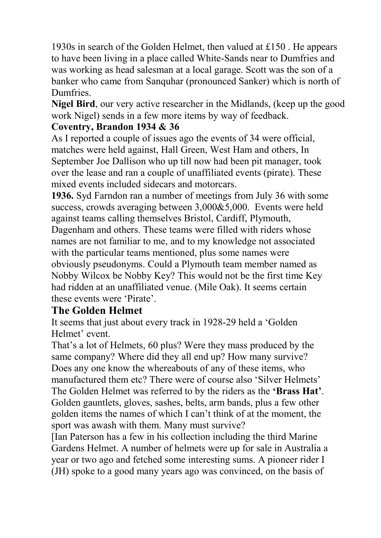1930s in search of the Golden Helmet, then valued at £150 . He appears to have been living in a place called White-Sands near to Dumfries and was working as head salesman at a local garage. Scott was the son of a banker who came from Sanquhar (pronounced Sanker) which is north of **Dumfries** 

**Nigel Bird**, our very active researcher in the Midlands, (keep up the good work Nigel) sends in a few more items by way of feedback.

### **Coventry, Brandon 1934 & 36**

As I reported a couple of issues ago the events of 34 were official, matches were held against, Hall Green, West Ham and others, In September Joe Dallison who up till now had been pit manager, took over the lease and ran a couple of unaffiliated events (pirate). These mixed events included sidecars and motorcars.

**1936.** Syd Farndon ran a number of meetings from July 36 with some success, crowds averaging between 3,000&5,000. Events were held against teams calling themselves Bristol, Cardiff, Plymouth, Dagenham and others. These teams were filled with riders whose names are not familiar to me, and to my knowledge not associated with the particular teams mentioned, plus some names were obviously pseudonyms. Could a Plymouth team member named as Nobby Wilcox be Nobby Key? This would not be the first time Key had ridden at an unaffiliated venue. (Mile Oak). It seems certain these events were 'Pirate'.

### **The Golden Helmet**

It seems that just about every track in 1928-29 held a 'Golden Helmet' event.

That's a lot of Helmets, 60 plus? Were they mass produced by the same company? Where did they all end up? How many survive? Does any one know the whereabouts of any of these items, who manufactured them etc? There were of course also 'Silver Helmets' The Golden Helmet was referred to by the riders as the **'Brass Hat'**. Golden gauntlets, gloves, sashes, belts, arm bands, plus a few other golden items the names of which I can't think of at the moment, the sport was awash with them. Many must survive?

[Ian Paterson has a few in his collection including the third Marine Gardens Helmet. A number of helmets were up for sale in Australia a year or two ago and fetched some interesting sums. A pioneer rider I (JH) spoke to a good many years ago was convinced, on the basis of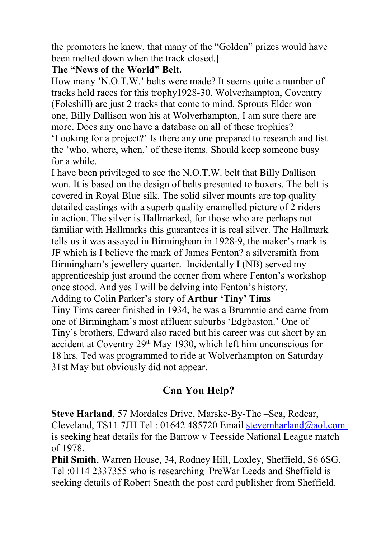the promoters he knew, that many of the "Golden" prizes would have been melted down when the track closed.]

### **The "News of the World" Belt.**

How many 'N.O.T.W.' belts were made? It seems quite a number of tracks held races for this trophy1928-30. Wolverhampton, Coventry (Foleshill) are just 2 tracks that come to mind. Sprouts Elder won one, Billy Dallison won his at Wolverhampton, I am sure there are more. Does any one have a database on all of these trophies?

'Looking for a project?' Is there any one prepared to research and list the 'who, where, when,' of these items. Should keep someone busy for a while.

I have been privileged to see the N.O.T.W. belt that Billy Dallison won. It is based on the design of belts presented to boxers. The belt is covered in Royal Blue silk. The solid silver mounts are top quality detailed castings with a superb quality enamelled picture of 2 riders in action. The silver is Hallmarked, for those who are perhaps not familiar with Hallmarks this guarantees it is real silver. The Hallmark tells us it was assayed in Birmingham in 1928-9, the maker's mark is JF which is I believe the mark of James Fenton? a silversmith from Birmingham's jewellery quarter. Incidentally I (NB) served my apprenticeship just around the corner from where Fenton's workshop once stood. And yes I will be delving into Fenton's history. Adding to Colin Parker's story of **Arthur 'Tiny' Tims** Tiny Tims career finished in 1934, he was a Brummie and came from one of Birmingham's most affluent suburbs 'Edgbaston.' One of Tiny's brothers, Edward also raced but his career was cut short by an accident at Coventry  $29<sup>th</sup>$  May 1930, which left him unconscious for 18 hrs. Ted was programmed to ride at Wolverhampton on Saturday 31st May but obviously did not appear.

# **Can You Help?**

**Steve Harland**, 57 Mordales Drive, Marske-By-The –Sea, Redcar, Cleveland, TS11 7JH Tel : 01642 485720 Email [stevemharland@aol.com](mailto:stevemharland@aol.com) is seeking heat details for the Barrow v Teesside National League match of 1978.

**Phil Smith**, Warren House, 34, Rodney Hill, Loxley, Sheffield, S6 6SG. Tel :0114 2337355 who is researching PreWar Leeds and Sheffield is seeking details of Robert Sneath the post card publisher from Sheffield.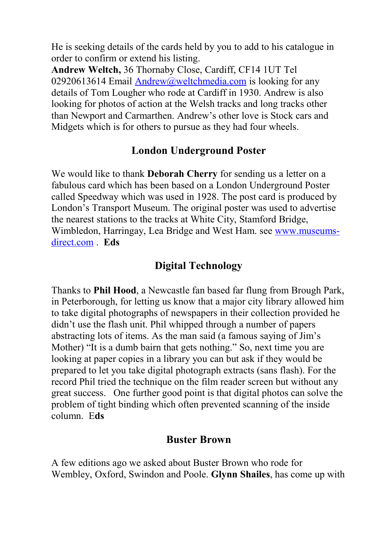He is seeking details of the cards held by you to add to his catalogue in order to confirm or extend his listing.

**Andrew Weltch,** 36 Thornaby Close, Cardiff, CF14 1UT Tel 02920613614 Email [Andrew@weltchmedia.com](mailto:Andrew@weltchmedia.com) is looking for any details of Tom Lougher who rode at Cardiff in 1930. Andrew is also looking for photos of action at the Welsh tracks and long tracks other than Newport and Carmarthen. Andrew's other love is Stock cars and Midgets which is for others to pursue as they had four wheels.

### **London Underground Poster**

We would like to thank **Deborah Cherry** for sending us a letter on a fabulous card which has been based on a London Underground Poster called Speedway which was used in 1928. The post card is produced by London's Transport Museum. The original poster was used to advertise the nearest stations to the tracks at White City, Stamford Bridge, Wimbledon, Harringay, Lea Bridge and West Ham. see [www.museums](http://www.museums-direct.com/)[direct.com](http://www.museums-direct.com/) . **Eds**

### **Digital Technology**

Thanks to **Phil Hood**, a Newcastle fan based far flung from Brough Park, in Peterborough, for letting us know that a major city library allowed him to take digital photographs of newspapers in their collection provided he didn't use the flash unit. Phil whipped through a number of papers abstracting lots of items. As the man said (a famous saying of Jim's Mother) "It is a dumb bairn that gets nothing." So, next time you are looking at paper copies in a library you can but ask if they would be prepared to let you take digital photograph extracts (sans flash). For the record Phil tried the technique on the film reader screen but without any great success. One further good point is that digital photos can solve the problem of tight binding which often prevented scanning of the inside column. E**ds**

### **Buster Brown**

A few editions ago we asked about Buster Brown who rode for Wembley, Oxford, Swindon and Poole. **Glynn Shailes**, has come up with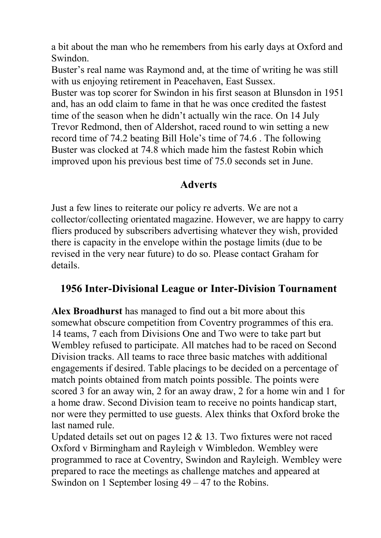a bit about the man who he remembers from his early days at Oxford and Swindon.

Buster's real name was Raymond and, at the time of writing he was still with us enjoying retirement in Peacehaven, East Sussex.

Buster was top scorer for Swindon in his first season at Blunsdon in 1951 and, has an odd claim to fame in that he was once credited the fastest time of the season when he didn't actually win the race. On 14 July Trevor Redmond, then of Aldershot, raced round to win setting a new record time of 74.2 beating Bill Hole's time of 74.6 . The following Buster was clocked at 74.8 which made him the fastest Robin which improved upon his previous best time of 75.0 seconds set in June.

### **Adverts**

Just a few lines to reiterate our policy re adverts. We are not a collector/collecting orientated magazine. However, we are happy to carry fliers produced by subscribers advertising whatever they wish, provided there is capacity in the envelope within the postage limits (due to be revised in the very near future) to do so. Please contact Graham for details.

# **1956 Inter-Divisional League or Inter-Division Tournament**

**Alex Broadhurst** has managed to find out a bit more about this somewhat obscure competition from Coventry programmes of this era. 14 teams, 7 each from Divisions One and Two were to take part but Wembley refused to participate. All matches had to be raced on Second Division tracks. All teams to race three basic matches with additional engagements if desired. Table placings to be decided on a percentage of match points obtained from match points possible. The points were scored 3 for an away win, 2 for an away draw, 2 for a home win and 1 for a home draw. Second Division team to receive no points handicap start, nor were they permitted to use guests. Alex thinks that Oxford broke the last named rule.

Updated details set out on pages 12 & 13. Two fixtures were not raced Oxford v Birmingham and Rayleigh v Wimbledon. Wembley were programmed to race at Coventry, Swindon and Rayleigh. Wembley were prepared to race the meetings as challenge matches and appeared at Swindon on 1 September losing 49 – 47 to the Robins.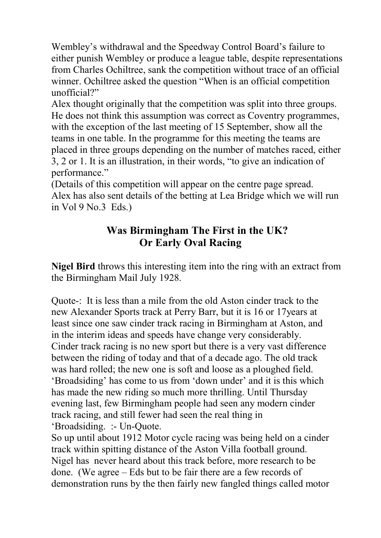Wembley's withdrawal and the Speedway Control Board's failure to either punish Wembley or produce a league table, despite representations from Charles Ochiltree, sank the competition without trace of an official winner. Ochiltree asked the question "When is an official competition unofficial?"

Alex thought originally that the competition was split into three groups. He does not think this assumption was correct as Coventry programmes, with the exception of the last meeting of 15 September, show all the teams in one table. In the programme for this meeting the teams are placed in three groups depending on the number of matches raced, either 3, 2 or 1. It is an illustration, in their words, "to give an indication of performance."

(Details of this competition will appear on the centre page spread. Alex has also sent details of the betting at Lea Bridge which we will run in Vol 9 No.3 Eds.)

# **Was Birmingham The First in the UK? Or Early Oval Racing**

**Nigel Bird** throws this interesting item into the ring with an extract from the Birmingham Mail July 1928.

Quote-: It is less than a mile from the old Aston cinder track to the new Alexander Sports track at Perry Barr, but it is 16 or 17years at least since one saw cinder track racing in Birmingham at Aston, and in the interim ideas and speeds have change very considerably. Cinder track racing is no new sport but there is a very vast difference between the riding of today and that of a decade ago. The old track was hard rolled; the new one is soft and loose as a ploughed field. 'Broadsiding' has come to us from 'down under' and it is this which has made the new riding so much more thrilling. Until Thursday evening last, few Birmingham people had seen any modern cinder track racing, and still fewer had seen the real thing in 'Broadsiding. :- Un-Quote.

So up until about 1912 Motor cycle racing was being held on a cinder track within spitting distance of the Aston Villa football ground. Nigel has never heard about this track before, more research to be done. (We agree – Eds but to be fair there are a few records of demonstration runs by the then fairly new fangled things called motor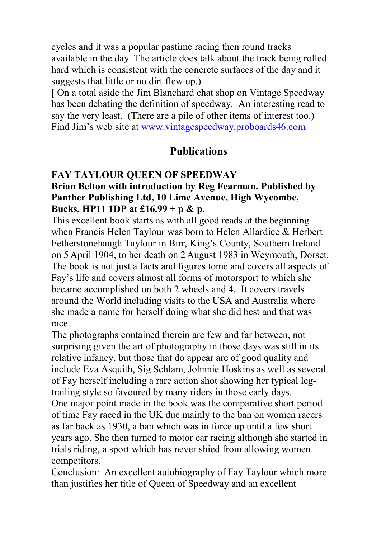cycles and it was a popular pastime racing then round tracks available in the day. The article does talk about the track being rolled hard which is consistent with the concrete surfaces of the day and it suggests that little or no dirt flew up.)

[ On a total aside the Jim Blanchard chat shop on Vintage Speedway has been debating the definition of speedway. An interesting read to say the very least. (There are a pile of other items of interest too.) Find Jim's web site at [www.vintagespeedway.proboards46.com](http://www.vintagespeedway.proboards46.com/)

### **Publications**

#### **FAY TAYLOUR QUEEN OF SPEEDWAY**

### **Brian Belton with introduction by Reg Fearman. Published by Panther Publishing Ltd, 10 Lime Avenue, High Wycombe, Bucks, HP11 1DP at £16.99 + p & p.**

This excellent book starts as with all good reads at the beginning when Francis Helen Taylour was born to Helen Allardice & Herbert Fetherstonehaugh Taylour in Birr, King's County, Southern Ireland on 5 April 1904, to her death on 2 August 1983 in Weymouth, Dorset. The book is not just a facts and figures tome and covers all aspects of Fay's life and covers almost all forms of motorsport to which she became accomplished on both 2 wheels and 4. It covers travels around the World including visits to the USA and Australia where she made a name for herself doing what she did best and that was race.

The photographs contained therein are few and far between, not surprising given the art of photography in those days was still in its relative infancy, but those that do appear are of good quality and include Eva Asquith, Sig Schlam, Johnnie Hoskins as well as several of Fay herself including a rare action shot showing her typical legtrailing style so favoured by many riders in those early days. One major point made in the book was the comparative short period of time Fay raced in the UK due mainly to the ban on women racers as far back as 1930, a ban which was in force up until a few short years ago. She then turned to motor car racing although she started in trials riding, a sport which has never shied from allowing women competitors.

Conclusion: An excellent autobiography of Fay Taylour which more than justifies her title of Queen of Speedway and an excellent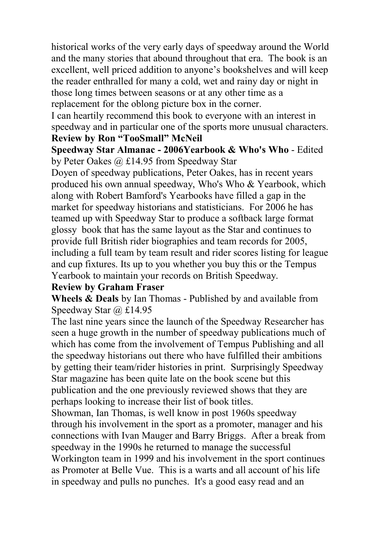historical works of the very early days of speedway around the World and the many stories that abound throughout that era. The book is an excellent, well priced addition to anyone's bookshelves and will keep the reader enthralled for many a cold, wet and rainy day or night in those long times between seasons or at any other time as a replacement for the oblong picture box in the corner.

I can heartily recommend this book to everyone with an interest in speedway and in particular one of the sports more unusual characters. **Review by Ron "TooSmall" McNeil**

**Speedway Star Almanac - 2006Yearbook & Who's Who** - Edited by Peter Oakes @ £14.95 from Speedway Star

Doyen of speedway publications, Peter Oakes, has in recent years produced his own annual speedway, Who's Who & Yearbook, which along with Robert Bamford's Yearbooks have filled a gap in the market for speedway historians and statisticians. For 2006 he has teamed up with Speedway Star to produce a softback large format glossy book that has the same layout as the Star and continues to provide full British rider biographies and team records for 2005, including a full team by team result and rider scores listing for league and cup fixtures. Its up to you whether you buy this or the Tempus Yearbook to maintain your records on British Speedway.

#### **Review by Graham Fraser**

**Wheels & Deals** by Ian Thomas - Published by and available from Speedway Star @ £14.95

The last nine years since the launch of the Speedway Researcher has seen a huge growth in the number of speedway publications much of which has come from the involvement of Tempus Publishing and all the speedway historians out there who have fulfilled their ambitions by getting their team/rider histories in print. Surprisingly Speedway Star magazine has been quite late on the book scene but this publication and the one previously reviewed shows that they are perhaps looking to increase their list of book titles.

Showman, Ian Thomas, is well know in post 1960s speedway through his involvement in the sport as a promoter, manager and his connections with Ivan Mauger and Barry Briggs. After a break from speedway in the 1990s he returned to manage the successful Workington team in 1999 and his involvement in the sport continues as Promoter at Belle Vue. This is a warts and all account of his life in speedway and pulls no punches. It's a good easy read and an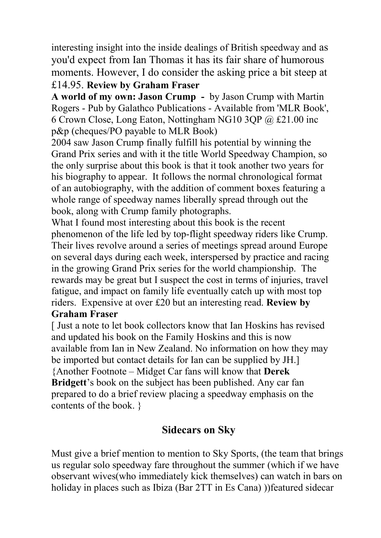interesting insight into the inside dealings of British speedway and as you'd expect from Ian Thomas it has its fair share of humorous moments. However, I do consider the asking price a bit steep at £14.95. **Review by Graham Fraser**

**A world of my own: Jason Crump -** by Jason Crump with Martin Rogers - Pub by Galathco Publications - Available from 'MLR Book', 6 Crown Close, Long Eaton, Nottingham NG10 3QP @ £21.00 inc p&p (cheques/PO payable to MLR Book)

2004 saw Jason Crump finally fulfill his potential by winning the Grand Prix series and with it the title World Speedway Champion, so the only surprise about this book is that it took another two years for his biography to appear. It follows the normal chronological format of an autobiography, with the addition of comment boxes featuring a whole range of speedway names liberally spread through out the book, along with Crump family photographs.

What I found most interesting about this book is the recent phenomenon of the life led by top-flight speedway riders like Crump. Their lives revolve around a series of meetings spread around Europe on several days during each week, interspersed by practice and racing in the growing Grand Prix series for the world championship. The rewards may be great but I suspect the cost in terms of injuries, travel fatigue, and impact on family life eventually catch up with most top riders. Expensive at over £20 but an interesting read. **Review by Graham Fraser**

[ Just a note to let book collectors know that Ian Hoskins has revised and updated his book on the Family Hoskins and this is now available from Ian in New Zealand. No information on how they may be imported but contact details for Ian can be supplied by JH.] {Another Footnote – Midget Car fans will know that **Derek Bridgett**'s book on the subject has been published. Any car fan prepared to do a brief review placing a speedway emphasis on the contents of the book. }

# **Sidecars on Sky**

Must give a brief mention to mention to Sky Sports, (the team that brings us regular solo speedway fare throughout the summer (which if we have observant wives(who immediately kick themselves) can watch in bars on holiday in places such as Ibiza (Bar 2TT in Es Cana) ))featured sidecar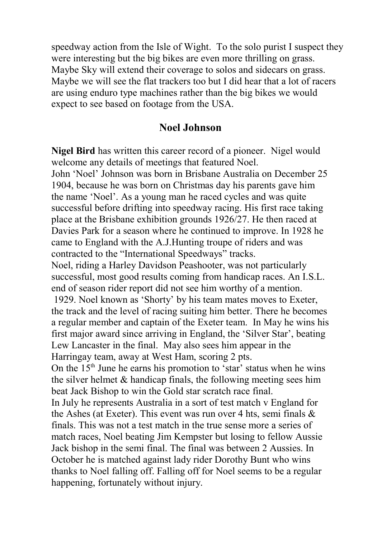speedway action from the Isle of Wight. To the solo purist I suspect they were interesting but the big bikes are even more thrilling on grass. Maybe Sky will extend their coverage to solos and sidecars on grass. Maybe we will see the flat trackers too but I did hear that a lot of racers are using enduro type machines rather than the big bikes we would expect to see based on footage from the USA.

### **Noel Johnson**

**Nigel Bird** has written this career record of a pioneer. Nigel would welcome any details of meetings that featured Noel. John 'Noel' Johnson was born in Brisbane Australia on December 25 1904, because he was born on Christmas day his parents gave him the name 'Noel'. As a young man he raced cycles and was quite successful before drifting into speedway racing. His first race taking place at the Brisbane exhibition grounds 1926/27. He then raced at Davies Park for a season where he continued to improve. In 1928 he came to England with the A.J.Hunting troupe of riders and was contracted to the "International Speedways" tracks. Noel, riding a Harley Davidson Peashooter, was not particularly successful, most good results coming from handicap races. An I.S.L. end of season rider report did not see him worthy of a mention. 1929. Noel known as 'Shorty' by his team mates moves to Exeter, the track and the level of racing suiting him better. There he becomes a regular member and captain of the Exeter team. In May he wins his first major award since arriving in England, the 'Silver Star', beating Lew Lancaster in the final. May also sees him appear in the Harringay team, away at West Ham, scoring 2 pts. On the  $15<sup>th</sup>$  June he earns his promotion to 'star' status when he wins the silver helmet  $\&$  handicap finals, the following meeting sees him beat Jack Bishop to win the Gold star scratch race final. In July he represents Australia in a sort of test match v England for the Ashes (at Exeter). This event was run over 4 hts, semi finals & finals. This was not a test match in the true sense more a series of match races, Noel beating Jim Kempster but losing to fellow Aussie Jack bishop in the semi final. The final was between 2 Aussies. In October he is matched against lady rider Dorothy Bunt who wins thanks to Noel falling off. Falling off for Noel seems to be a regular happening, fortunately without injury.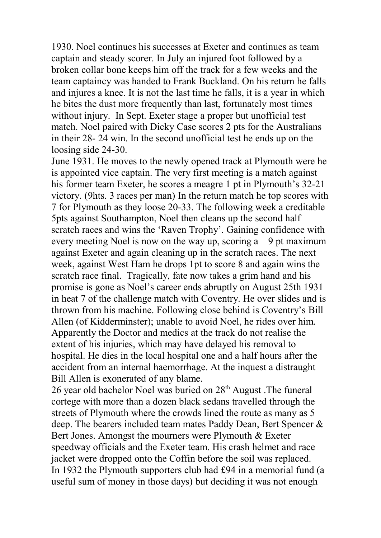1930. Noel continues his successes at Exeter and continues as team captain and steady scorer. In July an injured foot followed by a broken collar bone keeps him off the track for a few weeks and the team captaincy was handed to Frank Buckland. On his return he falls and injures a knee. It is not the last time he falls, it is a year in which he bites the dust more frequently than last, fortunately most times without injury. In Sept. Exeter stage a proper but unofficial test match. Noel paired with Dicky Case scores 2 pts for the Australians in their 28- 24 win. In the second unofficial test he ends up on the loosing side 24-30.

June 1931. He moves to the newly opened track at Plymouth were he is appointed vice captain. The very first meeting is a match against his former team Exeter, he scores a meagre 1 pt in Plymouth's 32-21 victory. (9hts. 3 races per man) In the return match he top scores with 7 for Plymouth as they loose 20-33. The following week a creditable 5pts against Southampton, Noel then cleans up the second half scratch races and wins the 'Raven Trophy'. Gaining confidence with every meeting Noel is now on the way up, scoring a 9 pt maximum against Exeter and again cleaning up in the scratch races. The next week, against West Ham he drops 1pt to score 8 and again wins the scratch race final. Tragically, fate now takes a grim hand and his promise is gone as Noel's career ends abruptly on August 25th 1931 in heat 7 of the challenge match with Coventry. He over slides and is thrown from his machine. Following close behind is Coventry's Bill Allen (of Kidderminster); unable to avoid Noel, he rides over him. Apparently the Doctor and medics at the track do not realise the extent of his injuries, which may have delayed his removal to hospital. He dies in the local hospital one and a half hours after the accident from an internal haemorrhage. At the inquest a distraught Bill Allen is exonerated of any blame.

26 year old bachelor Noel was buried on 28<sup>th</sup> August .The funeral cortege with more than a dozen black sedans travelled through the streets of Plymouth where the crowds lined the route as many as 5 deep. The bearers included team mates Paddy Dean, Bert Spencer & Bert Jones. Amongst the mourners were Plymouth & Exeter speedway officials and the Exeter team. His crash helmet and race jacket were dropped onto the Coffin before the soil was replaced. In 1932 the Plymouth supporters club had £94 in a memorial fund (a useful sum of money in those days) but deciding it was not enough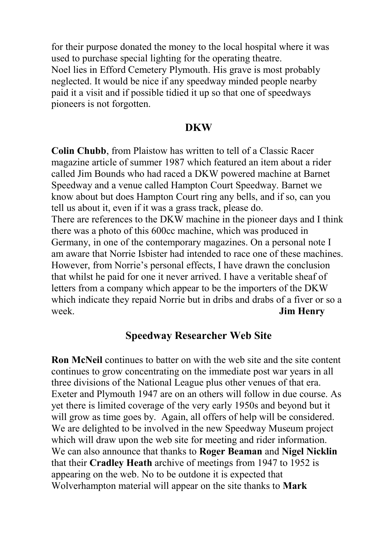for their purpose donated the money to the local hospital where it was used to purchase special lighting for the operating theatre. Noel lies in Efford Cemetery Plymouth. His grave is most probably neglected. It would be nice if any speedway minded people nearby paid it a visit and if possible tidied it up so that one of speedways pioneers is not forgotten.

#### **DKW**

**Colin Chubb**, from Plaistow has written to tell of a Classic Racer magazine article of summer 1987 which featured an item about a rider called Jim Bounds who had raced a DKW powered machine at Barnet Speedway and a venue called Hampton Court Speedway. Barnet we know about but does Hampton Court ring any bells, and if so, can you tell us about it, even if it was a grass track, please do. There are references to the DKW machine in the pioneer days and I think there was a photo of this 600cc machine, which was produced in Germany, in one of the contemporary magazines. On a personal note I am aware that Norrie Isbister had intended to race one of these machines. However, from Norrie's personal effects, I have drawn the conclusion that whilst he paid for one it never arrived. I have a veritable sheaf of letters from a company which appear to be the importers of the DKW which indicate they repaid Norrie but in dribs and drabs of a fiver or so a week. **Jim Henry**

### **Speedway Researcher Web Site**

**Ron McNeil** continues to batter on with the web site and the site content continues to grow concentrating on the immediate post war years in all three divisions of the National League plus other venues of that era. Exeter and Plymouth 1947 are on an others will follow in due course. As yet there is limited coverage of the very early 1950s and beyond but it will grow as time goes by. Again, all offers of help will be considered. We are delighted to be involved in the new Speedway Museum project which will draw upon the web site for meeting and rider information. We can also announce that thanks to **Roger Beaman** and **Nigel Nicklin** that their **Cradley Heath** archive of meetings from 1947 to 1952 is appearing on the web. No to be outdone it is expected that Wolverhampton material will appear on the site thanks to **Mark**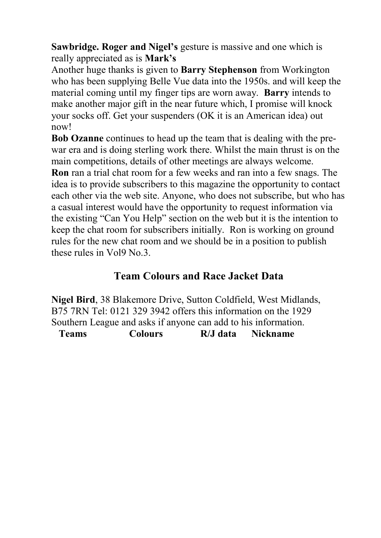**Sawbridge. Roger and Nigel's** gesture is massive and one which is really appreciated as is **Mark's**

Another huge thanks is given to **Barry Stephenson** from Workington who has been supplying Belle Vue data into the 1950s. and will keep the material coming until my finger tips are worn away. **Barry** intends to make another major gift in the near future which, I promise will knock your socks off. Get your suspenders (OK it is an American idea) out now!

**Bob Ozanne** continues to head up the team that is dealing with the prewar era and is doing sterling work there. Whilst the main thrust is on the main competitions, details of other meetings are always welcome.

**Ron** ran a trial chat room for a few weeks and ran into a few snags. The idea is to provide subscribers to this magazine the opportunity to contact each other via the web site. Anyone, who does not subscribe, but who has a casual interest would have the opportunity to request information via the existing "Can You Help" section on the web but it is the intention to keep the chat room for subscribers initially. Ron is working on ground rules for the new chat room and we should be in a position to publish these rules in Vol9 No.3.

### **Team Colours and Race Jacket Data**

**Nigel Bird**, 38 Blakemore Drive, Sutton Coldfield, West Midlands, B75 7RN Tel: 0121 329 3942 offers this information on the 1929 Southern League and asks if anyone can add to his information.  **Teams Colours R/J data Nickname**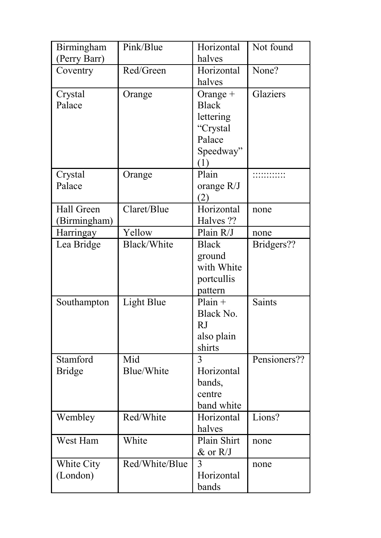| Birmingham    | Pink/Blue         | Horizontal     | Not found     |
|---------------|-------------------|----------------|---------------|
| (Perry Barr)  |                   | halves         |               |
| Coventry      | Red/Green         | Horizontal     | None?         |
|               |                   | halves         |               |
| Crystal       | Orange            | Orange +       | Glaziers      |
| Palace        |                   | <b>Black</b>   |               |
|               |                   | lettering      |               |
|               |                   | "Crystal       |               |
|               |                   | Palace         |               |
|               |                   | Speedway"      |               |
|               |                   | (1)            |               |
| Crystal       | Orange            | Plain          |               |
| Palace        |                   | orange R/J     |               |
|               |                   | (2)            |               |
| Hall Green    | Claret/Blue       | Horizontal     | none          |
| (Birmingham)  |                   | Halves ??      |               |
| Harringay     | Yellow            | Plain R/J      | none          |
| Lea Bridge    | Black/White       | <b>Black</b>   | Bridgers??    |
|               |                   | ground         |               |
|               |                   | with White     |               |
|               |                   | portcullis     |               |
|               |                   | pattern        |               |
| Southampton   | <b>Light Blue</b> | $Plain +$      | <b>Saints</b> |
|               |                   | Black No.      |               |
|               |                   | RJ             |               |
|               |                   | also plain     |               |
|               |                   | shirts         |               |
| Stamford      | Mid               | $\overline{3}$ | Pensioners??  |
| <b>Bridge</b> | Blue/White        | Horizontal     |               |
|               |                   | bands,         |               |
|               |                   | centre         |               |
|               |                   | band white     |               |
| Wembley       | Red/White         | Horizontal     | Lions?        |
|               |                   | halves         |               |
| West Ham      | White             | Plain Shirt    | none          |
|               |                   | & or R/J       |               |
| White City    | Red/White/Blue    | 3              | none          |
| (London)      |                   | Horizontal     |               |
|               |                   | bands          |               |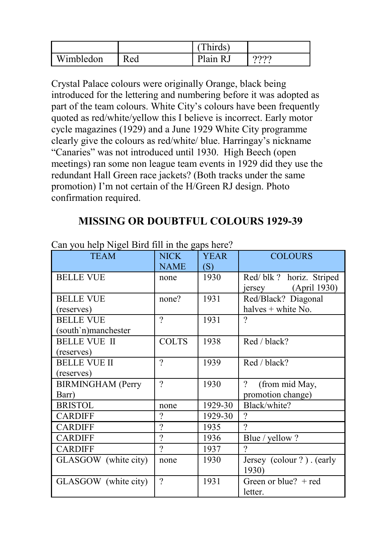|           |     | hirds)   |          |
|-----------|-----|----------|----------|
| Wimbledon | Red | Plain R. | റററ<br>. |

Crystal Palace colours were originally Orange, black being introduced for the lettering and numbering before it was adopted as part of the team colours. White City's colours have been frequently quoted as red/white/yellow this I believe is incorrect. Early motor cycle magazines (1929) and a June 1929 White City programme clearly give the colours as red/white/ blue. Harringay's nickname "Canaries" was not introduced until 1930. High Beech (open meetings) ran some non league team events in 1929 did they use the redundant Hall Green race jackets? (Both tracks under the same promotion) I'm not certain of the H/Green RJ design. Photo confirmation required.

# **MISSING OR DOUBTFUL COLOURS 1929-39**

| <b>TEAM</b>              | <b>NICK</b>  | <b>YEAR</b> | <b>COLOURS</b>             |
|--------------------------|--------------|-------------|----------------------------|
|                          | <b>NAME</b>  | (S)         |                            |
| <b>BELLE VUE</b>         | none         | 1930        | Red/blk? horiz. Striped    |
|                          |              |             | (April 1930)<br>jersey     |
| <b>BELLE VUE</b>         | none?        | 1931        | Red/Black? Diagonal        |
| (reserves)               |              |             | halves + white No.         |
| <b>BELLE VUE</b>         | $\gamma$     | 1931        | ?                          |
| south'n)manchester       |              |             |                            |
| <b>BELLE VUE II</b>      | <b>COLTS</b> | 1938        | Red / black?               |
| (reserves)               |              |             |                            |
| <b>BELLE VUE II</b>      | $\gamma$     | 1939        | Red / black?               |
| (reserves)               |              |             |                            |
| <b>BIRMINGHAM</b> (Perry | $\gamma$     | 1930        | $\gamma$<br>(from mid May, |
| Barr)                    |              |             | promotion change)          |
| <b>BRISTOL</b>           | none         | 1929-30     | Black/white?               |
| <b>CARDIFF</b>           | $\gamma$     | 1929-30     | $\gamma$                   |
| <b>CARDIFF</b>           | $\gamma$     | 1935        | 7                          |
| <b>CARDIFF</b>           | $\gamma$     | 1936        | Blue / yellow ?            |
| <b>CARDIFF</b>           | $\gamma$     | 1937        | $\gamma$                   |
| GLASGOW (white city)     | none         | 1930        | Jersey (colour ?). (early  |
|                          |              |             | 1930)                      |
| GLASGOW (white city)     | $\gamma$     | 1931        | Green or blue? $+$ red     |
|                          |              |             | letter.                    |

Can you help Nigel Bird fill in the gaps here?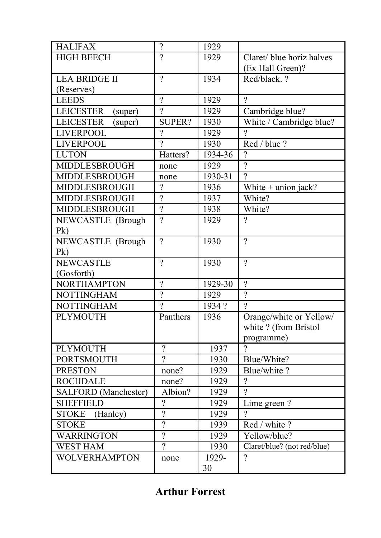| <b>HALIFAX</b>              | $\overline{?}$ | 1929              |                             |
|-----------------------------|----------------|-------------------|-----------------------------|
| <b>HIGH BEECH</b>           | $\overline{2}$ | 1929              | Claret/ blue horiz halves   |
|                             |                |                   | (Ex Hall Green)?            |
| <b>LEA BRIDGE II</b>        | $\overline{2}$ | 1934              | Red/black. ?                |
| (Reserves)                  |                |                   |                             |
| <b>LEEDS</b>                | $\overline{?}$ | 1929              | $\overline{?}$              |
| <b>LEICESTER</b><br>(super) | $\overline{2}$ | 1929              | Cambridge blue?             |
| <b>LEICESTER</b><br>(super) | SUPER?         | 1930              | White / Cambridge blue?     |
| <b>LIVERPOOL</b>            | $\gamma$       | 1929              | $\gamma$                    |
| <b>LIVERPOOL</b>            | $\overline{2}$ | 1930              | Red / blue ?                |
| <b>LUTON</b>                | Hatters?       | 1934-36           | $\gamma$                    |
| MIDDLESBROUGH               | none           | 1929              | $\overline{2}$              |
| MIDDLESBROUGH               | none           | 1930-31           | $\gamma$                    |
| MIDDLESBROUGH               | $\overline{?}$ | 1936              | White $+$ union jack?       |
| MIDDLESBROUGH               | $\overline{?}$ | 1937              | White?                      |
| MIDDLESBROUGH               | $\overline{?}$ | 1938              | White?                      |
| NEWCASTLE (Brough           | $\overline{2}$ | 1929              | $\gamma$                    |
| P <sub>k</sub>              |                |                   |                             |
| <b>NEWCASTLE</b> (Brough    | $\overline{2}$ | 1930              | $\gamma$                    |
| P <sub>k</sub>              |                |                   |                             |
| <b>NEWCASTLE</b>            | $\overline{2}$ | 1930              | $\gamma$                    |
| (Gosforth)                  |                |                   |                             |
| <b>NORTHAMPTON</b>          | $\overline{2}$ | 1929-30           | $\gamma$                    |
|                             |                |                   |                             |
| <b>NOTTINGHAM</b>           | $\overline{2}$ | 1929              | $\overline{2}$              |
| <b>NOTTINGHAM</b>           | $\overline{2}$ | 1934?             | $\mathcal{P}$               |
| <b>PLYMOUTH</b>             | Panthers       | 1936              | Orange/white or Yellow/     |
|                             |                |                   | white ? (from Bristol       |
|                             |                |                   | programme)                  |
| <b>PLYMOUTH</b>             | $\overline{?}$ | 1937              | $\gamma$                    |
| <b>PORTSMOUTH</b>           | $\gamma$       | 1930              | Blue/White?                 |
| <b>PRESTON</b>              | none?          | 1929              | Blue/white?                 |
| <b>ROCHDALE</b>             | none?          | 1929              | $\overline{?}$              |
| <b>SALFORD</b> (Manchester) | Albion?        | 1929              | $\gamma$                    |
| <b>SHEFFIELD</b>            | $\overline{?}$ | $\overline{1929}$ | Lime green?                 |
| <b>STOKE</b><br>(Hanley)    | $\overline{?}$ | 1929              | $\gamma$                    |
| <b>STOKE</b>                | $\overline{?}$ | 1939              | Red / white?                |
| <b>WARRINGTON</b>           | $\overline{?}$ | 1929              | Yellow/blue?                |
| <b>WEST HAM</b>             | $\overline{?}$ | 1930              | Claret/blue? (not red/blue) |
| <b>WOLVERHAMPTON</b>        | none           | 1929-             | $\overline{?}$              |

**Arthur Forrest**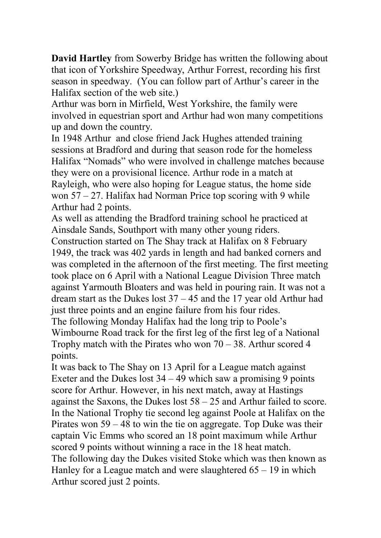**David Hartley** from Sowerby Bridge has written the following about that icon of Yorkshire Speedway, Arthur Forrest, recording his first season in speedway. (You can follow part of Arthur's career in the Halifax section of the web site.)

Arthur was born in Mirfield, West Yorkshire, the family were involved in equestrian sport and Arthur had won many competitions up and down the country.

In 1948 Arthur and close friend Jack Hughes attended training sessions at Bradford and during that season rode for the homeless Halifax "Nomads" who were involved in challenge matches because they were on a provisional licence. Arthur rode in a match at Rayleigh, who were also hoping for League status, the home side won  $57 - 27$ . Halifax had Norman Price top scoring with 9 while Arthur had 2 points.

As well as attending the Bradford training school he practiced at Ainsdale Sands, Southport with many other young riders.

Construction started on The Shay track at Halifax on 8 February 1949, the track was 402 yards in length and had banked corners and was completed in the afternoon of the first meeting. The first meeting took place on 6 April with a National League Division Three match against Yarmouth Bloaters and was held in pouring rain. It was not a dream start as the Dukes lost 37 – 45 and the 17 year old Arthur had just three points and an engine failure from his four rides.

The following Monday Halifax had the long trip to Poole's Wimbourne Road track for the first leg of the first leg of a National Trophy match with the Pirates who won  $70 - 38$ . Arthur scored 4 points.

It was back to The Shay on 13 April for a League match against Exeter and the Dukes lost  $34 - 49$  which saw a promising 9 points score for Arthur. However, in his next match, away at Hastings against the Saxons, the Dukes lost 58 – 25 and Arthur failed to score. In the National Trophy tie second leg against Poole at Halifax on the Pirates won 59 – 48 to win the tie on aggregate. Top Duke was their captain Vic Emms who scored an 18 point maximum while Arthur scored 9 points without winning a race in the 18 heat match. The following day the Dukes visited Stoke which was then known as Hanley for a League match and were slaughtered 65 – 19 in which

Arthur scored just 2 points.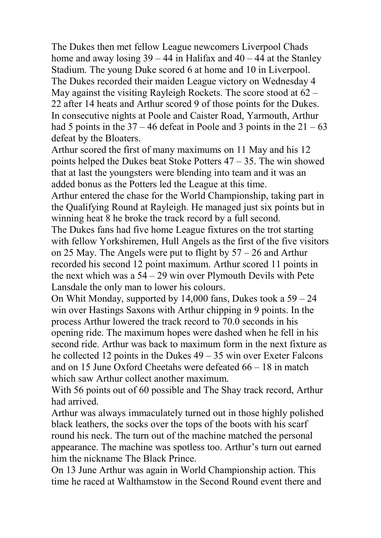The Dukes then met fellow League newcomers Liverpool Chads home and away losing  $39 - 44$  in Halifax and  $40 - 44$  at the Stanley Stadium. The young Duke scored 6 at home and 10 in Liverpool. The Dukes recorded their maiden League victory on Wednesday 4 May against the visiting Rayleigh Rockets. The score stood at  $62 -$ 22 after 14 heats and Arthur scored 9 of those points for the Dukes. In consecutive nights at Poole and Caister Road, Yarmouth, Arthur had 5 points in the  $37 - 46$  defeat in Poole and 3 points in the  $21 - 63$ defeat by the Bloaters.

Arthur scored the first of many maximums on 11 May and his 12 points helped the Dukes beat Stoke Potters 47 – 35. The win showed that at last the youngsters were blending into team and it was an added bonus as the Potters led the League at this time.

Arthur entered the chase for the World Championship, taking part in the Qualifying Round at Rayleigh. He managed just six points but in winning heat 8 he broke the track record by a full second.

The Dukes fans had five home League fixtures on the trot starting with fellow Yorkshiremen, Hull Angels as the first of the five visitors on 25 May. The Angels were put to flight by 57 – 26 and Arthur recorded his second 12 point maximum. Arthur scored 11 points in the next which was a 54 – 29 win over Plymouth Devils with Pete Lansdale the only man to lower his colours.

On Whit Monday, supported by 14,000 fans, Dukes took a 59 – 24 win over Hastings Saxons with Arthur chipping in 9 points. In the process Arthur lowered the track record to 70.0 seconds in his opening ride. The maximum hopes were dashed when he fell in his second ride. Arthur was back to maximum form in the next fixture as he collected 12 points in the Dukes 49 – 35 win over Exeter Falcons and on 15 June Oxford Cheetahs were defeated 66 – 18 in match which saw Arthur collect another maximum.

With 56 points out of 60 possible and The Shay track record, Arthur had arrived.

Arthur was always immaculately turned out in those highly polished black leathers, the socks over the tops of the boots with his scarf round his neck. The turn out of the machine matched the personal appearance. The machine was spotless too. Arthur's turn out earned him the nickname The Black Prince.

On 13 June Arthur was again in World Championship action. This time he raced at Walthamstow in the Second Round event there and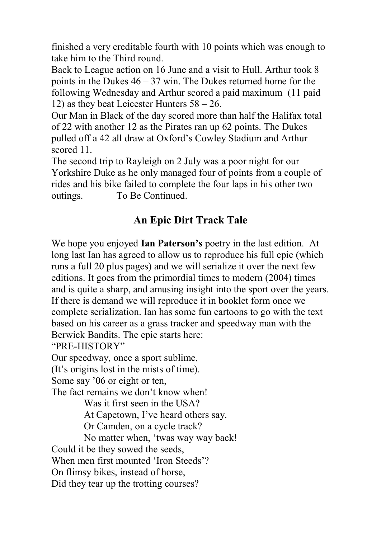finished a very creditable fourth with 10 points which was enough to take him to the Third round.

Back to League action on 16 June and a visit to Hull. Arthur took 8 points in the Dukes  $46 - 37$  win. The Dukes returned home for the following Wednesday and Arthur scored a paid maximum (11 paid 12) as they beat Leicester Hunters 58 – 26.

Our Man in Black of the day scored more than half the Halifax total of 22 with another 12 as the Pirates ran up 62 points. The Dukes pulled off a 42 all draw at Oxford's Cowley Stadium and Arthur scored 11.

The second trip to Rayleigh on 2 July was a poor night for our Yorkshire Duke as he only managed four of points from a couple of rides and his bike failed to complete the four laps in his other two outings. To Be Continued.

# **An Epic Dirt Track Tale**

We hope you enjoyed **Ian Paterson's** poetry in the last edition. At long last Ian has agreed to allow us to reproduce his full epic (which runs a full 20 plus pages) and we will serialize it over the next few editions. It goes from the primordial times to modern (2004) times and is quite a sharp, and amusing insight into the sport over the years. If there is demand we will reproduce it in booklet form once we complete serialization. Ian has some fun cartoons to go with the text based on his career as a grass tracker and speedway man with the Berwick Bandits. The epic starts here:

"PRE-HISTORY"

Our speedway, once a sport sublime,

(It's origins lost in the mists of time).

Some say '06 or eight or ten,

The fact remains we don't know when!

Was it first seen in the USA?

At Capetown, I've heard others say.

Or Camden, on a cycle track?

No matter when, 'twas way way back!

Could it be they sowed the seeds,

When men first mounted 'Iron Steeds'?

On flimsy bikes, instead of horse,

Did they tear up the trotting courses?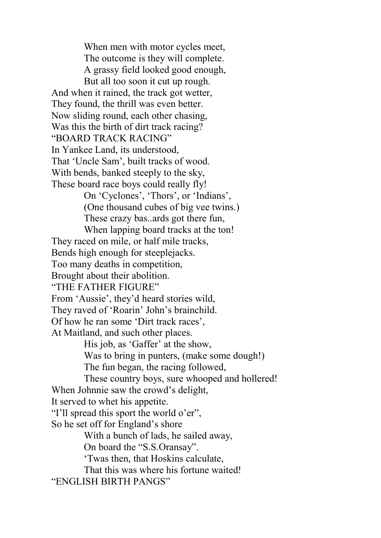When men with motor cycles meet, The outcome is they will complete. A grassy field looked good enough, But all too soon it cut up rough. And when it rained, the track got wetter, They found, the thrill was even better. Now sliding round, each other chasing, Was this the birth of dirt track racing? "BOARD TRACK RACING" In Yankee Land, its understood, That 'Uncle Sam', built tracks of wood. With bends, banked steeply to the sky, These board race boys could really fly! On 'Cyclones', 'Thors', or 'Indians', (One thousand cubes of big vee twins.) These crazy bas..ards got there fun, When lapping board tracks at the ton! They raced on mile, or half mile tracks, Bends high enough for steeplejacks. Too many deaths in competition, Brought about their abolition. "THE FATHER FIGURE" From 'Aussie', they'd heard stories wild, They raved of 'Roarin' John's brainchild. Of how he ran some 'Dirt track races', At Maitland, and such other places. His job, as 'Gaffer' at the show, Was to bring in punters, (make some dough!) The fun began, the racing followed, These country boys, sure whooped and hollered! When Johnnie saw the crowd's delight, It served to whet his appetite. "I'll spread this sport the world o'er", So he set off for England's shore With a bunch of lads, he sailed away, On board the "S.S.Oransay". 'Twas then, that Hoskins calculate, That this was where his fortune waited! "ENGLISH BIRTH PANGS"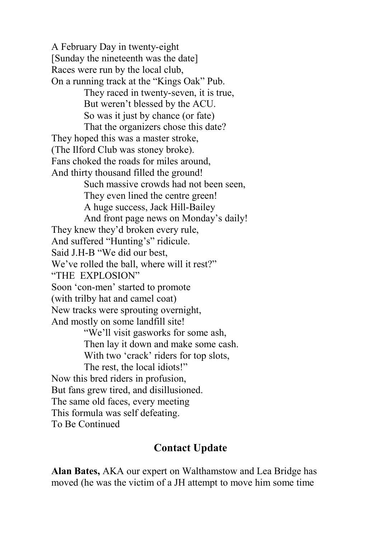A February Day in twenty-eight [Sunday the nineteenth was the date] Races were run by the local club, On a running track at the "Kings Oak" Pub. They raced in twenty-seven, it is true, But weren't blessed by the ACU. So was it just by chance (or fate) That the organizers chose this date? They hoped this was a master stroke, (The Ilford Club was stoney broke). Fans choked the roads for miles around, And thirty thousand filled the ground! Such massive crowds had not been seen, They even lined the centre green! A huge success, Jack Hill-Bailey And front page news on Monday's daily! They knew they'd broken every rule, And suffered "Hunting's" ridicule. Said J.H-B "We did our best, We've rolled the ball, where will it rest?" "THE EXPLOSION" Soon 'con-men' started to promote (with trilby hat and camel coat) New tracks were sprouting overnight, And mostly on some landfill site! "We'll visit gasworks for some ash, Then lay it down and make some cash. With two 'crack' riders for top slots. The rest, the local idiots!" Now this bred riders in profusion, But fans grew tired, and disillusioned. The same old faces, every meeting This formula was self defeating. To Be Continued

### **Contact Update**

**Alan Bates,** AKA our expert on Walthamstow and Lea Bridge has moved (he was the victim of a JH attempt to move him some time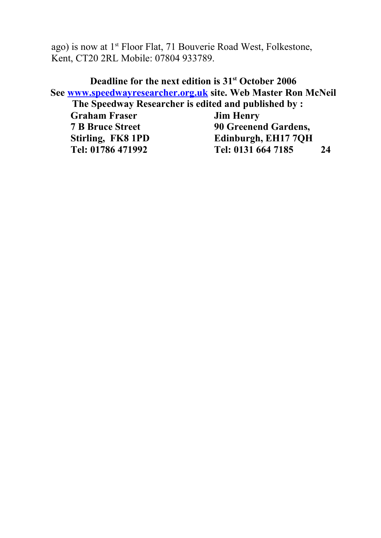ago) is now at 1st Floor Flat, 71 Bouverie Road West, Folkestone, Kent, CT20 2RL Mobile: 07804 933789.

**Deadline for the next edition is 31st October 2006 See [www.speedwayresearcher.org.uk](http://www.speedwayresearcher.org.uk/) site. Web Master Ron McNeil The Speedway Researcher is edited and published by : Craham Fraser Jim Henry**<br> **7 B Bruce Street 90 Greenen 90 Greenend Gardens, Stirling, FK8 1PD Edinburgh, EH17 7QH Tel: 01786 471992 Tel: 0131 664 7185 24**